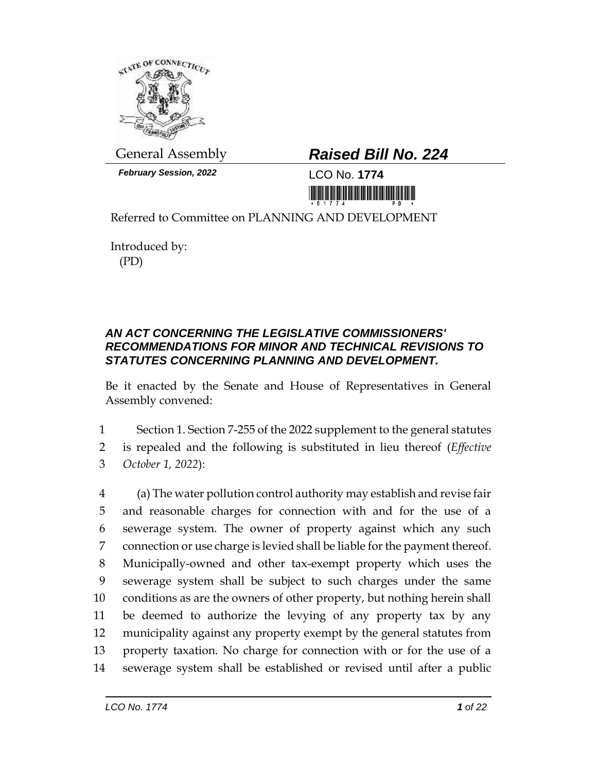

*February Session, 2022* LCO No. **1774**

## General Assembly *Raised Bill No. 224*

<u>Ti kuti bilim mamamatikan i</u>

Referred to Committee on PLANNING AND DEVELOPMENT

Introduced by: (PD)

## *AN ACT CONCERNING THE LEGISLATIVE COMMISSIONERS' RECOMMENDATIONS FOR MINOR AND TECHNICAL REVISIONS TO STATUTES CONCERNING PLANNING AND DEVELOPMENT.*

Be it enacted by the Senate and House of Representatives in General Assembly convened:

1 Section 1. Section 7-255 of the 2022 supplement to the general statutes 2 is repealed and the following is substituted in lieu thereof (*Effective* 

3 *October 1, 2022*):

 (a) The water pollution control authority may establish and revise fair and reasonable charges for connection with and for the use of a sewerage system. The owner of property against which any such connection or use charge is levied shall be liable for the payment thereof. Municipally-owned and other tax-exempt property which uses the sewerage system shall be subject to such charges under the same conditions as are the owners of other property, but nothing herein shall be deemed to authorize the levying of any property tax by any municipality against any property exempt by the general statutes from property taxation. No charge for connection with or for the use of a sewerage system shall be established or revised until after a public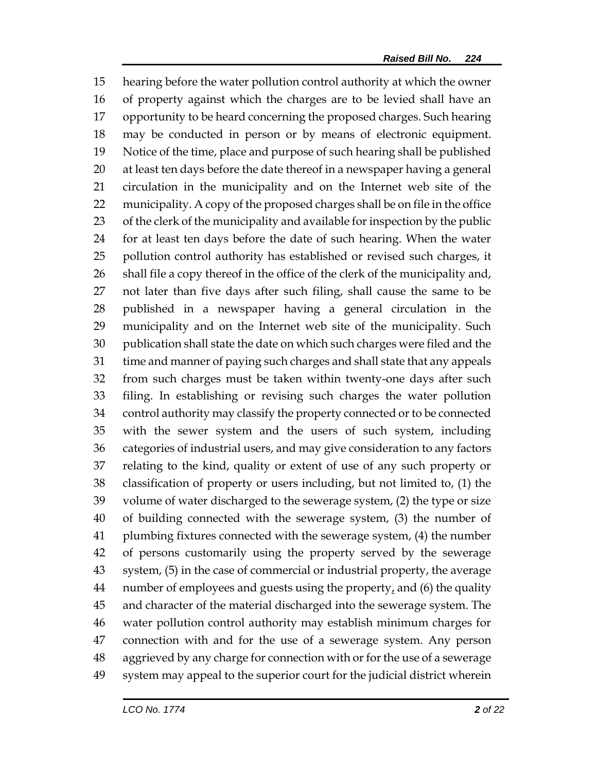hearing before the water pollution control authority at which the owner of property against which the charges are to be levied shall have an opportunity to be heard concerning the proposed charges. Such hearing may be conducted in person or by means of electronic equipment. Notice of the time, place and purpose of such hearing shall be published at least ten days before the date thereof in a newspaper having a general circulation in the municipality and on the Internet web site of the municipality. A copy of the proposed charges shall be on file in the office of the clerk of the municipality and available for inspection by the public for at least ten days before the date of such hearing. When the water pollution control authority has established or revised such charges, it shall file a copy thereof in the office of the clerk of the municipality and, not later than five days after such filing, shall cause the same to be published in a newspaper having a general circulation in the municipality and on the Internet web site of the municipality. Such publication shall state the date on which such charges were filed and the time and manner of paying such charges and shall state that any appeals from such charges must be taken within twenty-one days after such filing. In establishing or revising such charges the water pollution control authority may classify the property connected or to be connected with the sewer system and the users of such system, including categories of industrial users, and may give consideration to any factors relating to the kind, quality or extent of use of any such property or classification of property or users including, but not limited to, (1) the volume of water discharged to the sewerage system, (2) the type or size of building connected with the sewerage system, (3) the number of plumbing fixtures connected with the sewerage system, (4) the number of persons customarily using the property served by the sewerage system, (5) in the case of commercial or industrial property, the average 44 number of employees and guests using the property, and  $(6)$  the quality and character of the material discharged into the sewerage system. The water pollution control authority may establish minimum charges for connection with and for the use of a sewerage system. Any person aggrieved by any charge for connection with or for the use of a sewerage system may appeal to the superior court for the judicial district wherein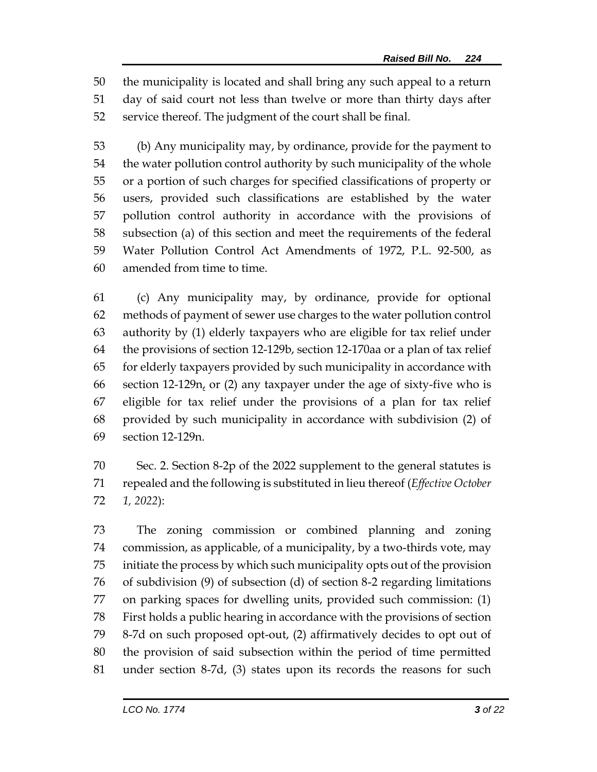the municipality is located and shall bring any such appeal to a return day of said court not less than twelve or more than thirty days after service thereof. The judgment of the court shall be final.

 (b) Any municipality may, by ordinance, provide for the payment to the water pollution control authority by such municipality of the whole or a portion of such charges for specified classifications of property or users, provided such classifications are established by the water pollution control authority in accordance with the provisions of subsection (a) of this section and meet the requirements of the federal Water Pollution Control Act Amendments of 1972, P.L. 92-500, as amended from time to time.

 (c) Any municipality may, by ordinance, provide for optional methods of payment of sewer use charges to the water pollution control authority by (1) elderly taxpayers who are eligible for tax relief under the provisions of section 12-129b, section 12-170aa or a plan of tax relief for elderly taxpayers provided by such municipality in accordance with 66 section 12-129 $n<sub>t</sub>$  or (2) any taxpayer under the age of sixty-five who is eligible for tax relief under the provisions of a plan for tax relief provided by such municipality in accordance with subdivision (2) of section 12-129n.

 Sec. 2. Section 8-2p of the 2022 supplement to the general statutes is repealed and the following is substituted in lieu thereof (*Effective October 1, 2022*):

 The zoning commission or combined planning and zoning commission, as applicable, of a municipality, by a two-thirds vote, may initiate the process by which such municipality opts out of the provision of subdivision (9) of subsection (d) of section 8-2 regarding limitations on parking spaces for dwelling units, provided such commission: (1) First holds a public hearing in accordance with the provisions of section 8-7d on such proposed opt-out, (2) affirmatively decides to opt out of the provision of said subsection within the period of time permitted under section 8-7d, (3) states upon its records the reasons for such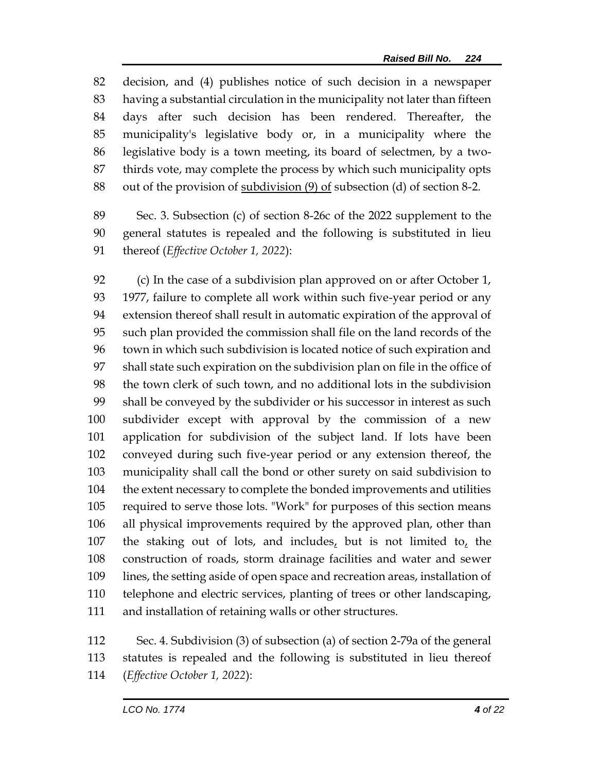decision, and (4) publishes notice of such decision in a newspaper having a substantial circulation in the municipality not later than fifteen days after such decision has been rendered. Thereafter, the municipality's legislative body or, in a municipality where the legislative body is a town meeting, its board of selectmen, by a two- thirds vote, may complete the process by which such municipality opts out of the provision of subdivision (9) of subsection (d) of section 8-2.

 Sec. 3. Subsection (c) of section 8-26c of the 2022 supplement to the general statutes is repealed and the following is substituted in lieu thereof (*Effective October 1, 2022*):

 (c) In the case of a subdivision plan approved on or after October 1, 1977, failure to complete all work within such five-year period or any extension thereof shall result in automatic expiration of the approval of such plan provided the commission shall file on the land records of the town in which such subdivision is located notice of such expiration and shall state such expiration on the subdivision plan on file in the office of the town clerk of such town, and no additional lots in the subdivision shall be conveyed by the subdivider or his successor in interest as such subdivider except with approval by the commission of a new application for subdivision of the subject land. If lots have been conveyed during such five-year period or any extension thereof, the municipality shall call the bond or other surety on said subdivision to the extent necessary to complete the bonded improvements and utilities required to serve those lots. "Work" for purposes of this section means all physical improvements required by the approved plan, other than the staking out of lots, and includes, but is not limited to, the construction of roads, storm drainage facilities and water and sewer lines, the setting aside of open space and recreation areas, installation of telephone and electric services, planting of trees or other landscaping, and installation of retaining walls or other structures.

 Sec. 4. Subdivision (3) of subsection (a) of section 2-79a of the general statutes is repealed and the following is substituted in lieu thereof (*Effective October 1, 2022*):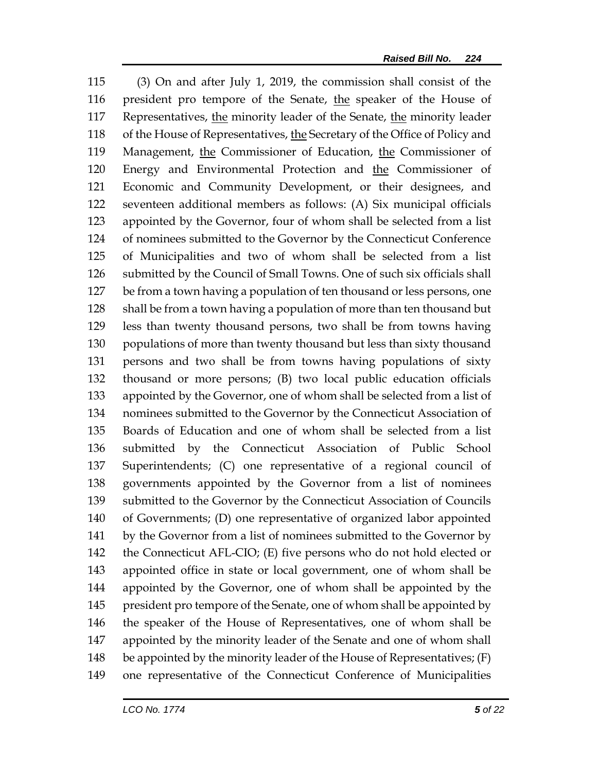(3) On and after July 1, 2019, the commission shall consist of the 116 president pro tempore of the Senate, the speaker of the House of Representatives, the minority leader of the Senate, the minority leader of the House of Representatives, the Secretary of the Office of Policy and Management, the Commissioner of Education, the Commissioner of Energy and Environmental Protection and the Commissioner of Economic and Community Development, or their designees, and seventeen additional members as follows: (A) Six municipal officials appointed by the Governor, four of whom shall be selected from a list of nominees submitted to the Governor by the Connecticut Conference of Municipalities and two of whom shall be selected from a list submitted by the Council of Small Towns. One of such six officials shall be from a town having a population of ten thousand or less persons, one shall be from a town having a population of more than ten thousand but less than twenty thousand persons, two shall be from towns having populations of more than twenty thousand but less than sixty thousand persons and two shall be from towns having populations of sixty thousand or more persons; (B) two local public education officials appointed by the Governor, one of whom shall be selected from a list of nominees submitted to the Governor by the Connecticut Association of Boards of Education and one of whom shall be selected from a list submitted by the Connecticut Association of Public School Superintendents; (C) one representative of a regional council of governments appointed by the Governor from a list of nominees submitted to the Governor by the Connecticut Association of Councils of Governments; (D) one representative of organized labor appointed by the Governor from a list of nominees submitted to the Governor by the Connecticut AFL-CIO; (E) five persons who do not hold elected or appointed office in state or local government, one of whom shall be appointed by the Governor, one of whom shall be appointed by the 145 president pro tempore of the Senate, one of whom shall be appointed by the speaker of the House of Representatives, one of whom shall be appointed by the minority leader of the Senate and one of whom shall 148 be appointed by the minority leader of the House of Representatives; (F) one representative of the Connecticut Conference of Municipalities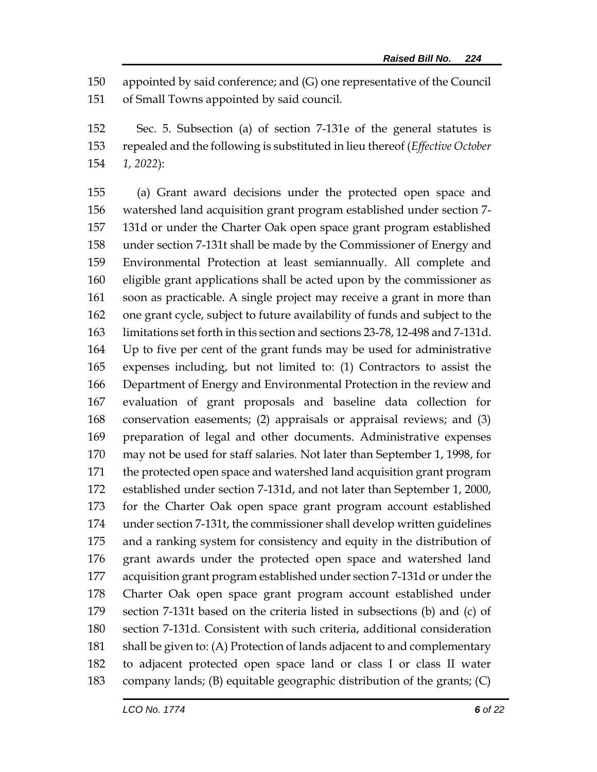appointed by said conference; and (G) one representative of the Council of Small Towns appointed by said council.

 Sec. 5. Subsection (a) of section 7-131e of the general statutes is repealed and the following is substituted in lieu thereof (*Effective October 1, 2022*):

 (a) Grant award decisions under the protected open space and watershed land acquisition grant program established under section 7- 131d or under the Charter Oak open space grant program established under section 7-131t shall be made by the Commissioner of Energy and Environmental Protection at least semiannually. All complete and eligible grant applications shall be acted upon by the commissioner as soon as practicable. A single project may receive a grant in more than one grant cycle, subject to future availability of funds and subject to the limitations set forth in this section and sections 23-78, 12-498 and 7-131d. Up to five per cent of the grant funds may be used for administrative expenses including, but not limited to: (1) Contractors to assist the Department of Energy and Environmental Protection in the review and evaluation of grant proposals and baseline data collection for conservation easements; (2) appraisals or appraisal reviews; and (3) preparation of legal and other documents. Administrative expenses may not be used for staff salaries. Not later than September 1, 1998, for the protected open space and watershed land acquisition grant program established under section 7-131d, and not later than September 1, 2000, for the Charter Oak open space grant program account established under section 7-131t, the commissioner shall develop written guidelines and a ranking system for consistency and equity in the distribution of grant awards under the protected open space and watershed land acquisition grant program established under section 7-131d or under the Charter Oak open space grant program account established under section 7-131t based on the criteria listed in subsections (b) and (c) of section 7-131d. Consistent with such criteria, additional consideration shall be given to: (A) Protection of lands adjacent to and complementary to adjacent protected open space land or class I or class II water company lands; (B) equitable geographic distribution of the grants; (C)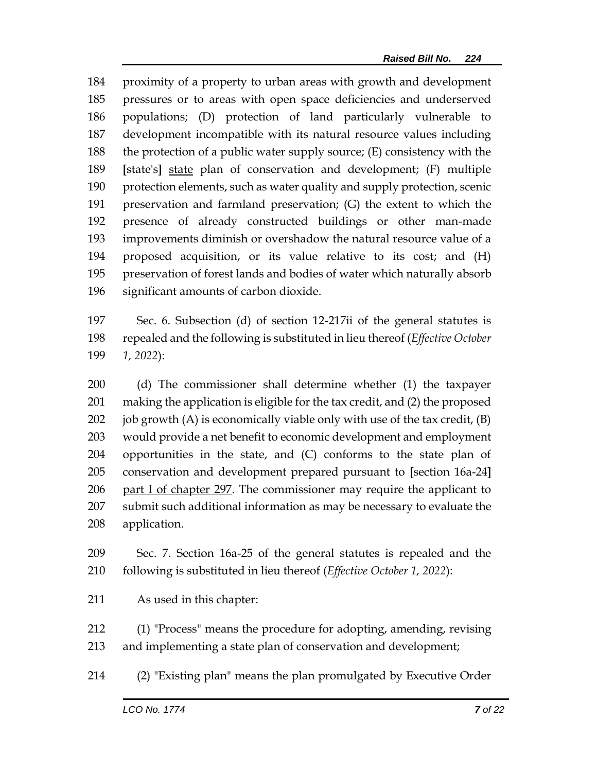proximity of a property to urban areas with growth and development pressures or to areas with open space deficiencies and underserved populations; (D) protection of land particularly vulnerable to development incompatible with its natural resource values including 188 the protection of a public water supply source;  $(E)$  consistency with the **[**state's**]** state plan of conservation and development; (F) multiple protection elements, such as water quality and supply protection, scenic preservation and farmland preservation; (G) the extent to which the presence of already constructed buildings or other man-made improvements diminish or overshadow the natural resource value of a proposed acquisition, or its value relative to its cost; and (H) preservation of forest lands and bodies of water which naturally absorb significant amounts of carbon dioxide.

 Sec. 6. Subsection (d) of section 12-217ii of the general statutes is repealed and the following is substituted in lieu thereof (*Effective October 1, 2022*):

 (d) The commissioner shall determine whether (1) the taxpayer making the application is eligible for the tax credit, and (2) the proposed 202 job growth  $(A)$  is economically viable only with use of the tax credit,  $(B)$  would provide a net benefit to economic development and employment opportunities in the state, and (C) conforms to the state plan of conservation and development prepared pursuant to **[**section 16a-24**]** part I of chapter 297. The commissioner may require the applicant to submit such additional information as may be necessary to evaluate the application.

 Sec. 7. Section 16a-25 of the general statutes is repealed and the following is substituted in lieu thereof (*Effective October 1, 2022*):

As used in this chapter:

 (1) "Process" means the procedure for adopting, amending, revising and implementing a state plan of conservation and development;

(2) "Existing plan" means the plan promulgated by Executive Order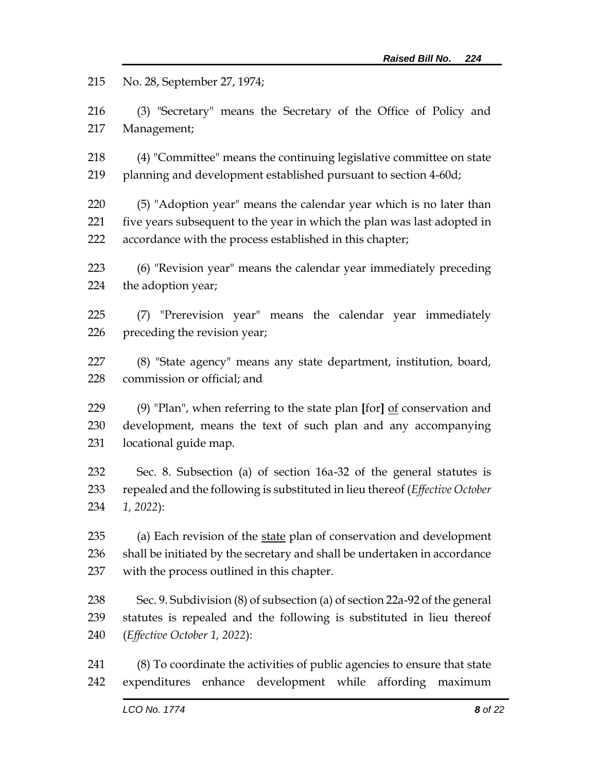No. 28, September 27, 1974;

 (3) "Secretary" means the Secretary of the Office of Policy and Management;

 (4) "Committee" means the continuing legislative committee on state planning and development established pursuant to section 4-60d;

 (5) "Adoption year" means the calendar year which is no later than five years subsequent to the year in which the plan was last adopted in accordance with the process established in this chapter;

 (6) "Revision year" means the calendar year immediately preceding the adoption year;

 (7) "Prerevision year" means the calendar year immediately preceding the revision year;

 (8) "State agency" means any state department, institution, board, commission or official; and

 (9) "Plan", when referring to the state plan **[**for**]** of conservation and development, means the text of such plan and any accompanying locational guide map.

 Sec. 8. Subsection (a) of section 16a-32 of the general statutes is repealed and the following is substituted in lieu thereof (*Effective October 1, 2022*):

235 (a) Each revision of the state plan of conservation and development shall be initiated by the secretary and shall be undertaken in accordance with the process outlined in this chapter.

 Sec. 9. Subdivision (8) of subsection (a) of section 22a-92 of the general statutes is repealed and the following is substituted in lieu thereof (*Effective October 1, 2022*):

 (8) To coordinate the activities of public agencies to ensure that state expenditures enhance development while affording maximum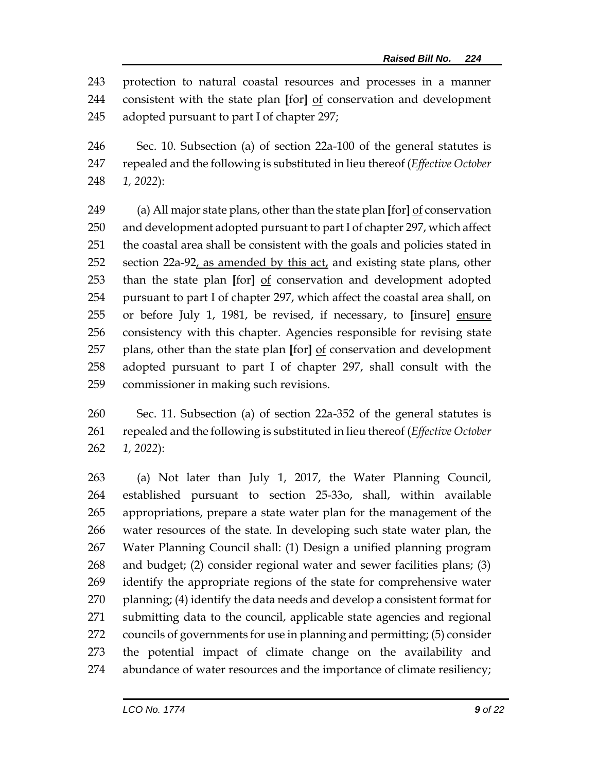protection to natural coastal resources and processes in a manner consistent with the state plan **[**for**]** of conservation and development adopted pursuant to part I of chapter 297;

 Sec. 10. Subsection (a) of section 22a-100 of the general statutes is repealed and the following is substituted in lieu thereof (*Effective October 1, 2022*):

 (a) All major state plans, other than the state plan **[**for**]** of conservation and development adopted pursuant to part I of chapter 297, which affect the coastal area shall be consistent with the goals and policies stated in section 22a-92, as amended by this act, and existing state plans, other than the state plan **[**for**]** of conservation and development adopted pursuant to part I of chapter 297, which affect the coastal area shall, on or before July 1, 1981, be revised, if necessary, to **[**insure**]** ensure consistency with this chapter. Agencies responsible for revising state plans, other than the state plan **[**for**]** of conservation and development adopted pursuant to part I of chapter 297, shall consult with the commissioner in making such revisions.

 Sec. 11. Subsection (a) of section 22a-352 of the general statutes is repealed and the following is substituted in lieu thereof (*Effective October 1, 2022*):

 (a) Not later than July 1, 2017, the Water Planning Council, established pursuant to section 25-33o, shall, within available appropriations, prepare a state water plan for the management of the water resources of the state. In developing such state water plan, the Water Planning Council shall: (1) Design a unified planning program and budget; (2) consider regional water and sewer facilities plans; (3) identify the appropriate regions of the state for comprehensive water planning; (4) identify the data needs and develop a consistent format for submitting data to the council, applicable state agencies and regional councils of governments for use in planning and permitting; (5) consider the potential impact of climate change on the availability and abundance of water resources and the importance of climate resiliency;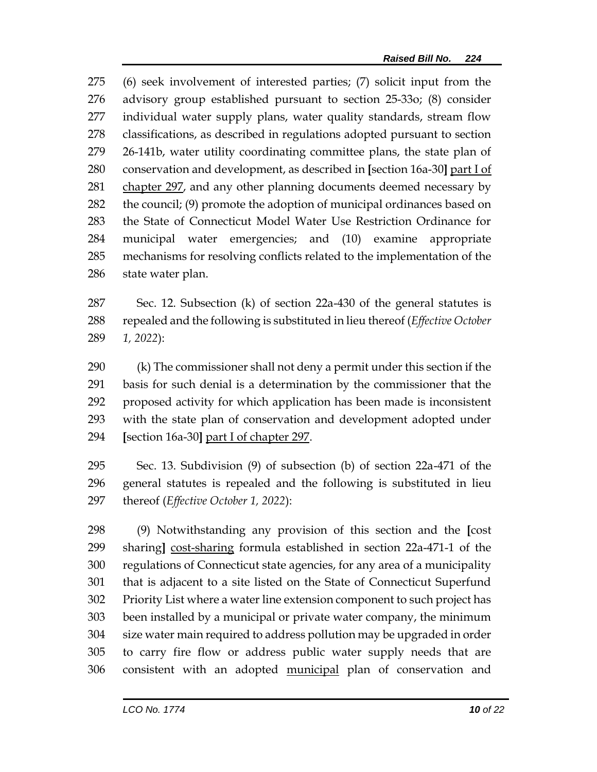(6) seek involvement of interested parties; (7) solicit input from the advisory group established pursuant to section 25-33o; (8) consider individual water supply plans, water quality standards, stream flow classifications, as described in regulations adopted pursuant to section 26-141b, water utility coordinating committee plans, the state plan of conservation and development, as described in **[**section 16a-30**]** part I of 281 chapter 297, and any other planning documents deemed necessary by 282 the council; (9) promote the adoption of municipal ordinances based on the State of Connecticut Model Water Use Restriction Ordinance for municipal water emergencies; and (10) examine appropriate mechanisms for resolving conflicts related to the implementation of the state water plan.

 Sec. 12. Subsection (k) of section 22a-430 of the general statutes is repealed and the following is substituted in lieu thereof (*Effective October 1, 2022*):

 (k) The commissioner shall not deny a permit under this section if the basis for such denial is a determination by the commissioner that the proposed activity for which application has been made is inconsistent with the state plan of conservation and development adopted under **[**section 16a-30**]** part I of chapter 297.

 Sec. 13. Subdivision (9) of subsection (b) of section 22a-471 of the general statutes is repealed and the following is substituted in lieu thereof (*Effective October 1, 2022*):

 (9) Notwithstanding any provision of this section and the **[**cost sharing**]** cost-sharing formula established in section 22a-471-1 of the regulations of Connecticut state agencies, for any area of a municipality that is adjacent to a site listed on the State of Connecticut Superfund Priority List where a water line extension component to such project has been installed by a municipal or private water company, the minimum size water main required to address pollution may be upgraded in order to carry fire flow or address public water supply needs that are consistent with an adopted municipal plan of conservation and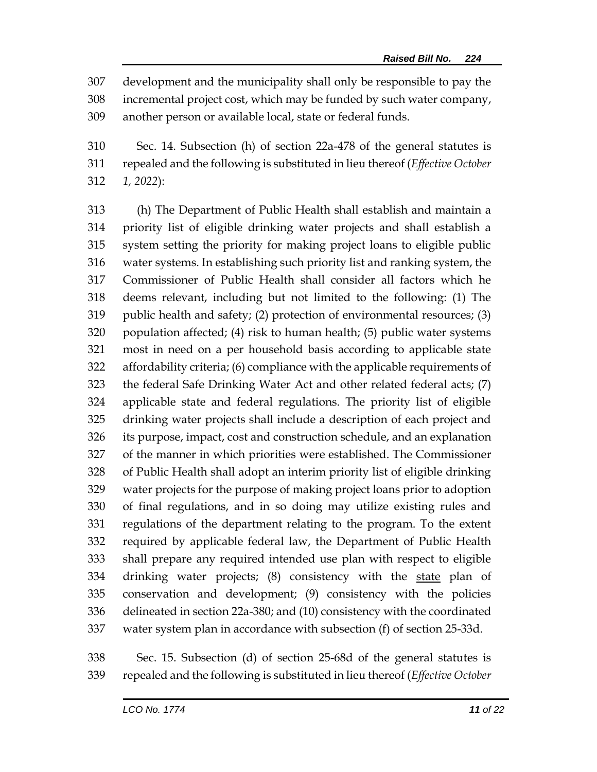development and the municipality shall only be responsible to pay the incremental project cost, which may be funded by such water company, another person or available local, state or federal funds.

 Sec. 14. Subsection (h) of section 22a-478 of the general statutes is repealed and the following is substituted in lieu thereof (*Effective October 1, 2022*):

 (h) The Department of Public Health shall establish and maintain a priority list of eligible drinking water projects and shall establish a system setting the priority for making project loans to eligible public water systems. In establishing such priority list and ranking system, the Commissioner of Public Health shall consider all factors which he deems relevant, including but not limited to the following: (1) The public health and safety; (2) protection of environmental resources; (3) population affected; (4) risk to human health; (5) public water systems most in need on a per household basis according to applicable state affordability criteria; (6) compliance with the applicable requirements of the federal Safe Drinking Water Act and other related federal acts; (7) applicable state and federal regulations. The priority list of eligible drinking water projects shall include a description of each project and its purpose, impact, cost and construction schedule, and an explanation of the manner in which priorities were established. The Commissioner of Public Health shall adopt an interim priority list of eligible drinking water projects for the purpose of making project loans prior to adoption of final regulations, and in so doing may utilize existing rules and regulations of the department relating to the program. To the extent required by applicable federal law, the Department of Public Health shall prepare any required intended use plan with respect to eligible 334 drinking water projects; (8) consistency with the state plan of conservation and development; (9) consistency with the policies delineated in section 22a-380; and (10) consistency with the coordinated water system plan in accordance with subsection (f) of section 25-33d.

 Sec. 15. Subsection (d) of section 25-68d of the general statutes is repealed and the following is substituted in lieu thereof (*Effective October*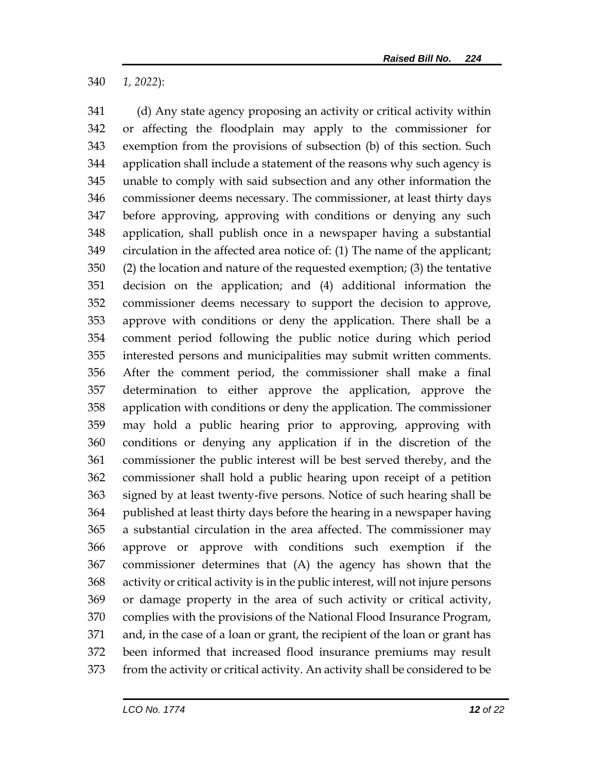*1, 2022*):

 (d) Any state agency proposing an activity or critical activity within or affecting the floodplain may apply to the commissioner for exemption from the provisions of subsection (b) of this section. Such application shall include a statement of the reasons why such agency is unable to comply with said subsection and any other information the commissioner deems necessary. The commissioner, at least thirty days before approving, approving with conditions or denying any such application, shall publish once in a newspaper having a substantial circulation in the affected area notice of: (1) The name of the applicant; (2) the location and nature of the requested exemption; (3) the tentative decision on the application; and (4) additional information the commissioner deems necessary to support the decision to approve, approve with conditions or deny the application. There shall be a comment period following the public notice during which period interested persons and municipalities may submit written comments. After the comment period, the commissioner shall make a final determination to either approve the application, approve the application with conditions or deny the application. The commissioner may hold a public hearing prior to approving, approving with conditions or denying any application if in the discretion of the commissioner the public interest will be best served thereby, and the commissioner shall hold a public hearing upon receipt of a petition signed by at least twenty-five persons. Notice of such hearing shall be published at least thirty days before the hearing in a newspaper having a substantial circulation in the area affected. The commissioner may approve or approve with conditions such exemption if the commissioner determines that (A) the agency has shown that the activity or critical activity is in the public interest, will not injure persons or damage property in the area of such activity or critical activity, complies with the provisions of the National Flood Insurance Program, and, in the case of a loan or grant, the recipient of the loan or grant has been informed that increased flood insurance premiums may result from the activity or critical activity. An activity shall be considered to be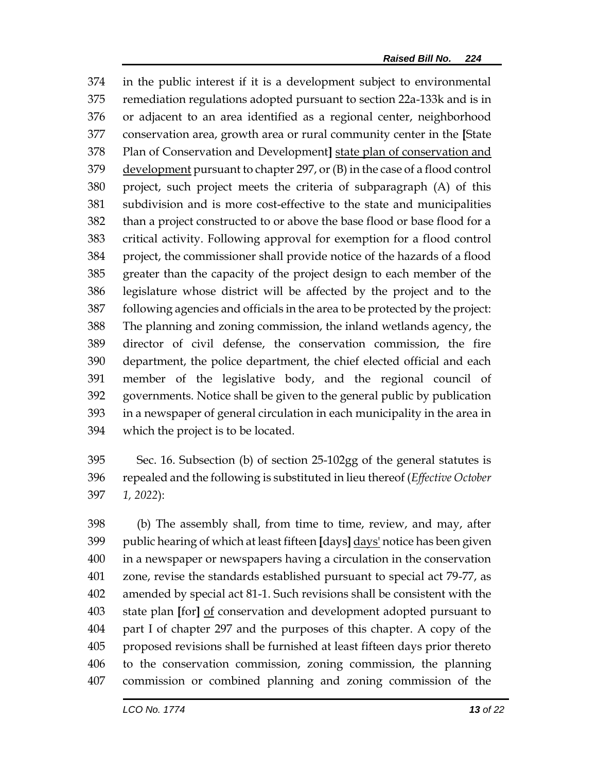in the public interest if it is a development subject to environmental remediation regulations adopted pursuant to section 22a-133k and is in or adjacent to an area identified as a regional center, neighborhood conservation area, growth area or rural community center in the **[**State Plan of Conservation and Development**]** state plan of conservation and development pursuant to chapter 297, or (B) in the case of a flood control project, such project meets the criteria of subparagraph (A) of this subdivision and is more cost-effective to the state and municipalities than a project constructed to or above the base flood or base flood for a critical activity. Following approval for exemption for a flood control project, the commissioner shall provide notice of the hazards of a flood greater than the capacity of the project design to each member of the legislature whose district will be affected by the project and to the following agencies and officials in the area to be protected by the project: The planning and zoning commission, the inland wetlands agency, the director of civil defense, the conservation commission, the fire department, the police department, the chief elected official and each member of the legislative body, and the regional council of governments. Notice shall be given to the general public by publication in a newspaper of general circulation in each municipality in the area in which the project is to be located.

 Sec. 16. Subsection (b) of section 25-102gg of the general statutes is repealed and the following is substituted in lieu thereof (*Effective October 1, 2022*):

 (b) The assembly shall, from time to time, review, and may, after public hearing of which at least fifteen **[**days**]** days' notice has been given in a newspaper or newspapers having a circulation in the conservation zone, revise the standards established pursuant to special act 79-77, as amended by special act 81-1. Such revisions shall be consistent with the state plan **[**for**]** of conservation and development adopted pursuant to part I of chapter 297 and the purposes of this chapter. A copy of the proposed revisions shall be furnished at least fifteen days prior thereto to the conservation commission, zoning commission, the planning commission or combined planning and zoning commission of the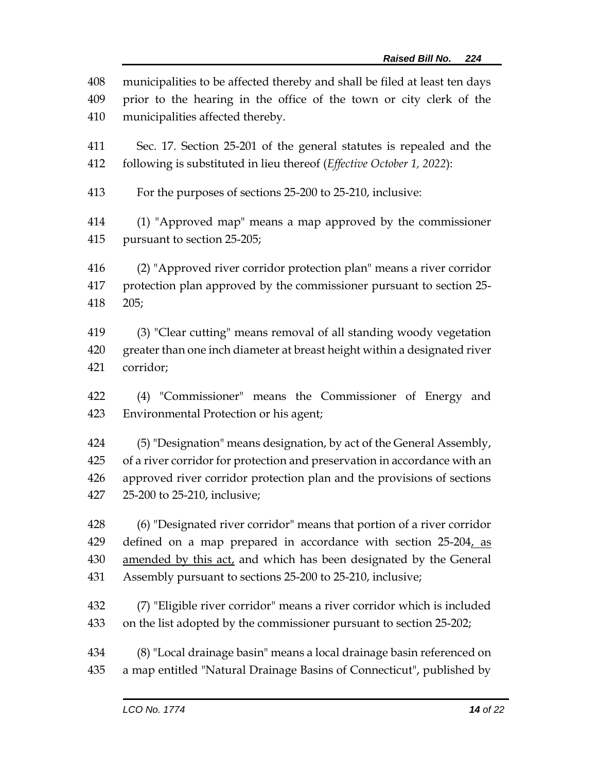municipalities to be affected thereby and shall be filed at least ten days prior to the hearing in the office of the town or city clerk of the municipalities affected thereby. Sec. 17. Section 25-201 of the general statutes is repealed and the following is substituted in lieu thereof (*Effective October 1, 2022*): For the purposes of sections 25-200 to 25-210, inclusive: (1) "Approved map" means a map approved by the commissioner

pursuant to section 25-205;

 (2) "Approved river corridor protection plan" means a river corridor protection plan approved by the commissioner pursuant to section 25- 205;

 (3) "Clear cutting" means removal of all standing woody vegetation greater than one inch diameter at breast height within a designated river corridor;

 (4) "Commissioner" means the Commissioner of Energy and Environmental Protection or his agent;

 (5) "Designation" means designation, by act of the General Assembly, of a river corridor for protection and preservation in accordance with an approved river corridor protection plan and the provisions of sections 25-200 to 25-210, inclusive;

 (6) "Designated river corridor" means that portion of a river corridor 429 defined on a map prepared in accordance with section 25-204, as amended by this act, and which has been designated by the General Assembly pursuant to sections 25-200 to 25-210, inclusive;

 (7) "Eligible river corridor" means a river corridor which is included on the list adopted by the commissioner pursuant to section 25-202;

 (8) "Local drainage basin" means a local drainage basin referenced on a map entitled "Natural Drainage Basins of Connecticut", published by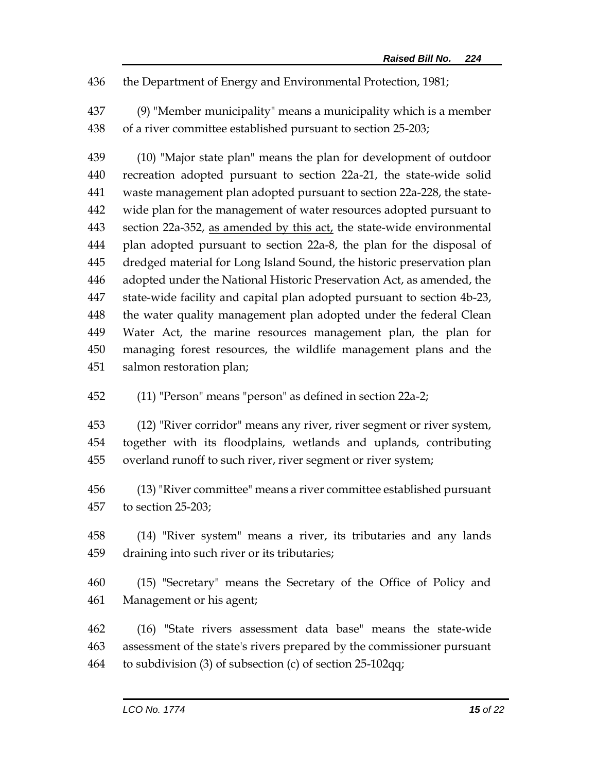the Department of Energy and Environmental Protection, 1981;

 (9) "Member municipality" means a municipality which is a member of a river committee established pursuant to section 25-203;

 (10) "Major state plan" means the plan for development of outdoor recreation adopted pursuant to section 22a-21, the state-wide solid waste management plan adopted pursuant to section 22a-228, the state- wide plan for the management of water resources adopted pursuant to 443 section 22a-352, as amended by this  $act<sub>L</sub>$  the state-wide environmental plan adopted pursuant to section 22a-8, the plan for the disposal of dredged material for Long Island Sound, the historic preservation plan adopted under the National Historic Preservation Act, as amended, the state-wide facility and capital plan adopted pursuant to section 4b-23, 448 the water quality management plan adopted under the federal Clean Water Act, the marine resources management plan, the plan for managing forest resources, the wildlife management plans and the salmon restoration plan;

(11) "Person" means "person" as defined in section 22a-2;

 (12) "River corridor" means any river, river segment or river system, together with its floodplains, wetlands and uplands, contributing overland runoff to such river, river segment or river system;

 (13) "River committee" means a river committee established pursuant to section 25-203;

 (14) "River system" means a river, its tributaries and any lands draining into such river or its tributaries;

 (15) "Secretary" means the Secretary of the Office of Policy and Management or his agent;

 (16) "State rivers assessment data base" means the state-wide assessment of the state's rivers prepared by the commissioner pursuant to subdivision (3) of subsection (c) of section 25-102qq;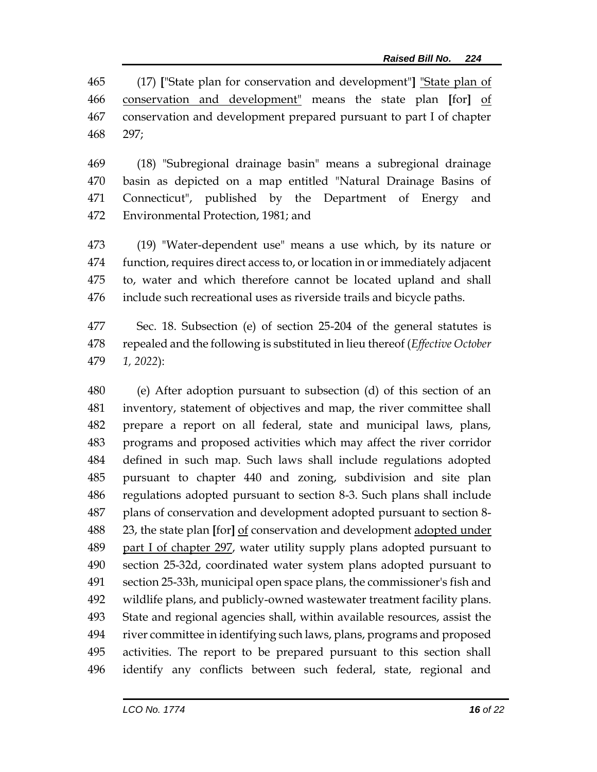(17) **[**"State plan for conservation and development"**]** "State plan of conservation and development" means the state plan **[**for**]** of conservation and development prepared pursuant to part I of chapter 297;

 (18) "Subregional drainage basin" means a subregional drainage basin as depicted on a map entitled "Natural Drainage Basins of Connecticut", published by the Department of Energy and Environmental Protection, 1981; and

 (19) "Water-dependent use" means a use which, by its nature or function, requires direct access to, or location in or immediately adjacent to, water and which therefore cannot be located upland and shall include such recreational uses as riverside trails and bicycle paths.

 Sec. 18. Subsection (e) of section 25-204 of the general statutes is repealed and the following is substituted in lieu thereof (*Effective October 1, 2022*):

 (e) After adoption pursuant to subsection (d) of this section of an inventory, statement of objectives and map, the river committee shall prepare a report on all federal, state and municipal laws, plans, programs and proposed activities which may affect the river corridor defined in such map. Such laws shall include regulations adopted pursuant to chapter 440 and zoning, subdivision and site plan regulations adopted pursuant to section 8-3. Such plans shall include plans of conservation and development adopted pursuant to section 8- 23, the state plan **[**for**]** of conservation and development adopted under part I of chapter 297, water utility supply plans adopted pursuant to section 25-32d, coordinated water system plans adopted pursuant to section 25-33h, municipal open space plans, the commissioner's fish and wildlife plans, and publicly-owned wastewater treatment facility plans. State and regional agencies shall, within available resources, assist the river committee in identifying such laws, plans, programs and proposed activities. The report to be prepared pursuant to this section shall identify any conflicts between such federal, state, regional and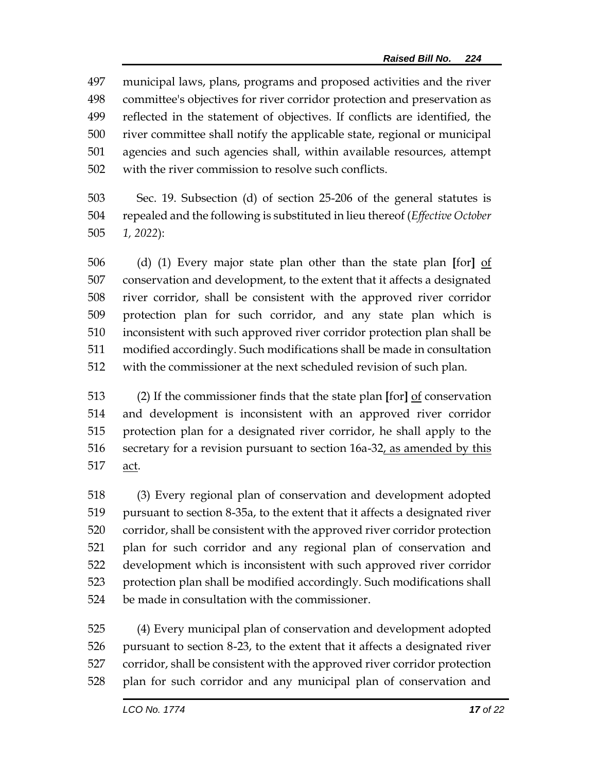municipal laws, plans, programs and proposed activities and the river committee's objectives for river corridor protection and preservation as reflected in the statement of objectives. If conflicts are identified, the river committee shall notify the applicable state, regional or municipal agencies and such agencies shall, within available resources, attempt with the river commission to resolve such conflicts.

 Sec. 19. Subsection (d) of section 25-206 of the general statutes is repealed and the following is substituted in lieu thereof (*Effective October 1, 2022*):

 (d) (1) Every major state plan other than the state plan **[**for**]** of conservation and development, to the extent that it affects a designated river corridor, shall be consistent with the approved river corridor protection plan for such corridor, and any state plan which is inconsistent with such approved river corridor protection plan shall be modified accordingly. Such modifications shall be made in consultation with the commissioner at the next scheduled revision of such plan.

 (2) If the commissioner finds that the state plan **[**for**]** of conservation and development is inconsistent with an approved river corridor protection plan for a designated river corridor, he shall apply to the secretary for a revision pursuant to section 16a-32, as amended by this act.

 (3) Every regional plan of conservation and development adopted pursuant to section 8-35a, to the extent that it affects a designated river corridor, shall be consistent with the approved river corridor protection plan for such corridor and any regional plan of conservation and development which is inconsistent with such approved river corridor protection plan shall be modified accordingly. Such modifications shall be made in consultation with the commissioner.

 (4) Every municipal plan of conservation and development adopted pursuant to section 8-23, to the extent that it affects a designated river corridor, shall be consistent with the approved river corridor protection plan for such corridor and any municipal plan of conservation and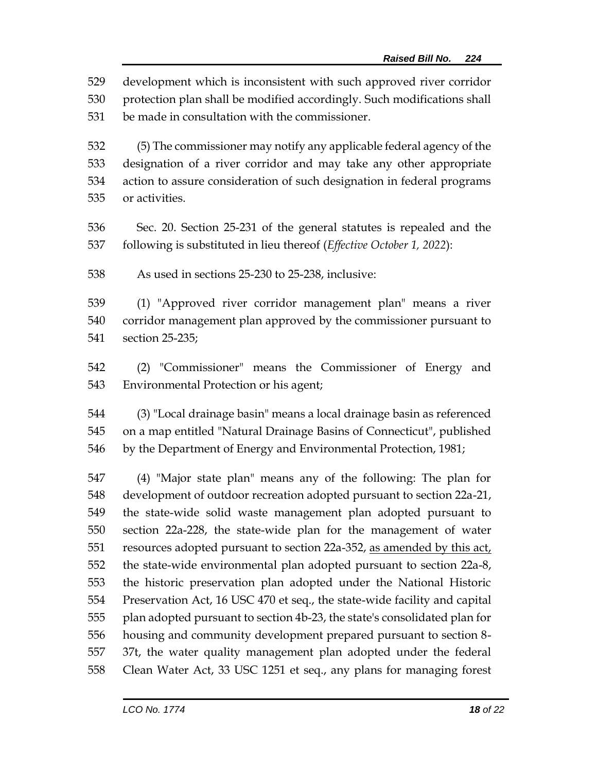development which is inconsistent with such approved river corridor

 protection plan shall be modified accordingly. Such modifications shall be made in consultation with the commissioner.

 (5) The commissioner may notify any applicable federal agency of the designation of a river corridor and may take any other appropriate action to assure consideration of such designation in federal programs or activities.

 Sec. 20. Section 25-231 of the general statutes is repealed and the following is substituted in lieu thereof (*Effective October 1, 2022*):

As used in sections 25-230 to 25-238, inclusive:

 (1) "Approved river corridor management plan" means a river corridor management plan approved by the commissioner pursuant to section 25-235;

 (2) "Commissioner" means the Commissioner of Energy and Environmental Protection or his agent;

 (3) "Local drainage basin" means a local drainage basin as referenced on a map entitled "Natural Drainage Basins of Connecticut", published by the Department of Energy and Environmental Protection, 1981;

 (4) "Major state plan" means any of the following: The plan for development of outdoor recreation adopted pursuant to section 22a-21, the state-wide solid waste management plan adopted pursuant to section 22a-228, the state-wide plan for the management of water 551 resources adopted pursuant to section 22a-352, as amended by this act, the state-wide environmental plan adopted pursuant to section 22a-8, the historic preservation plan adopted under the National Historic Preservation Act, 16 USC 470 et seq., the state-wide facility and capital plan adopted pursuant to section 4b-23, the state's consolidated plan for housing and community development prepared pursuant to section 8- 37t, the water quality management plan adopted under the federal Clean Water Act, 33 USC 1251 et seq., any plans for managing forest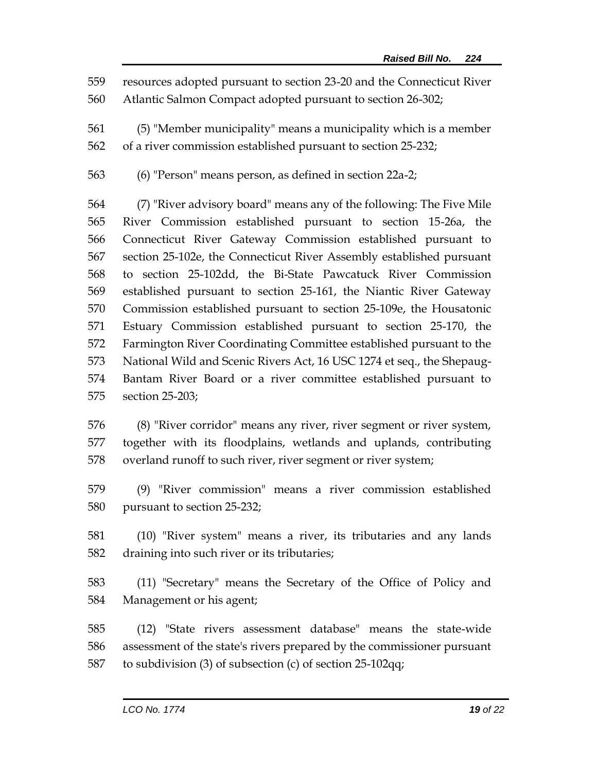- resources adopted pursuant to section 23-20 and the Connecticut River
- Atlantic Salmon Compact adopted pursuant to section 26-302;
- (5) "Member municipality" means a municipality which is a member
- of a river commission established pursuant to section 25-232;
- (6) "Person" means person, as defined in section 22a-2;

 (7) "River advisory board" means any of the following: The Five Mile River Commission established pursuant to section 15-26a, the Connecticut River Gateway Commission established pursuant to section 25-102e, the Connecticut River Assembly established pursuant to section 25-102dd, the Bi-State Pawcatuck River Commission established pursuant to section 25-161, the Niantic River Gateway Commission established pursuant to section 25-109e, the Housatonic Estuary Commission established pursuant to section 25-170, the Farmington River Coordinating Committee established pursuant to the National Wild and Scenic Rivers Act, 16 USC 1274 et seq., the Shepaug- Bantam River Board or a river committee established pursuant to section 25-203;

- (8) "River corridor" means any river, river segment or river system, together with its floodplains, wetlands and uplands, contributing overland runoff to such river, river segment or river system;
- (9) "River commission" means a river commission established pursuant to section 25-232;
- (10) "River system" means a river, its tributaries and any lands draining into such river or its tributaries;
- (11) "Secretary" means the Secretary of the Office of Policy and Management or his agent;
- (12) "State rivers assessment database" means the state-wide assessment of the state's rivers prepared by the commissioner pursuant to subdivision (3) of subsection (c) of section 25-102qq;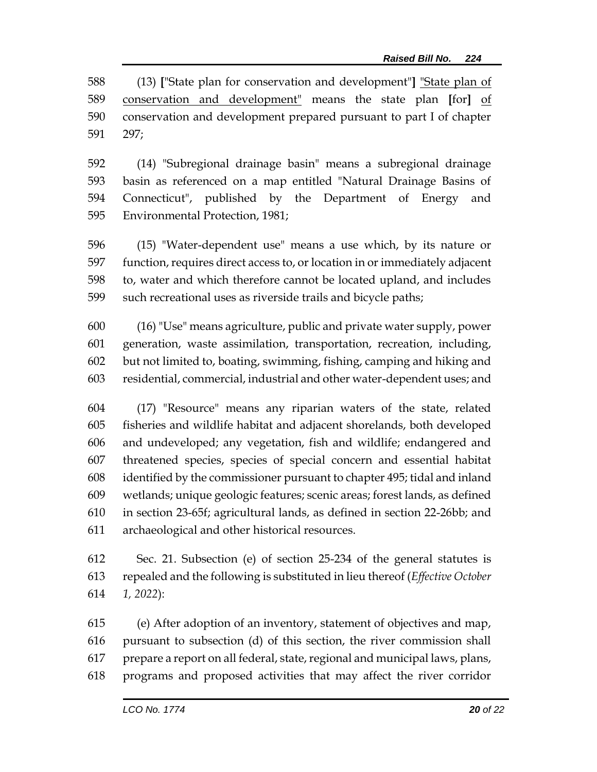(13) **[**"State plan for conservation and development"**]** "State plan of conservation and development" means the state plan **[**for**]** of conservation and development prepared pursuant to part I of chapter 297;

 (14) "Subregional drainage basin" means a subregional drainage basin as referenced on a map entitled "Natural Drainage Basins of Connecticut", published by the Department of Energy and Environmental Protection, 1981;

 (15) "Water-dependent use" means a use which, by its nature or function, requires direct access to, or location in or immediately adjacent to, water and which therefore cannot be located upland, and includes such recreational uses as riverside trails and bicycle paths;

 (16) "Use" means agriculture, public and private water supply, power generation, waste assimilation, transportation, recreation, including, but not limited to, boating, swimming, fishing, camping and hiking and residential, commercial, industrial and other water-dependent uses; and

 (17) "Resource" means any riparian waters of the state, related fisheries and wildlife habitat and adjacent shorelands, both developed and undeveloped; any vegetation, fish and wildlife; endangered and threatened species, species of special concern and essential habitat identified by the commissioner pursuant to chapter 495; tidal and inland wetlands; unique geologic features; scenic areas; forest lands, as defined in section 23-65f; agricultural lands, as defined in section 22-26bb; and archaeological and other historical resources.

 Sec. 21. Subsection (e) of section 25-234 of the general statutes is repealed and the following is substituted in lieu thereof (*Effective October 1, 2022*):

 (e) After adoption of an inventory, statement of objectives and map, pursuant to subsection (d) of this section, the river commission shall prepare a report on all federal, state, regional and municipal laws, plans, programs and proposed activities that may affect the river corridor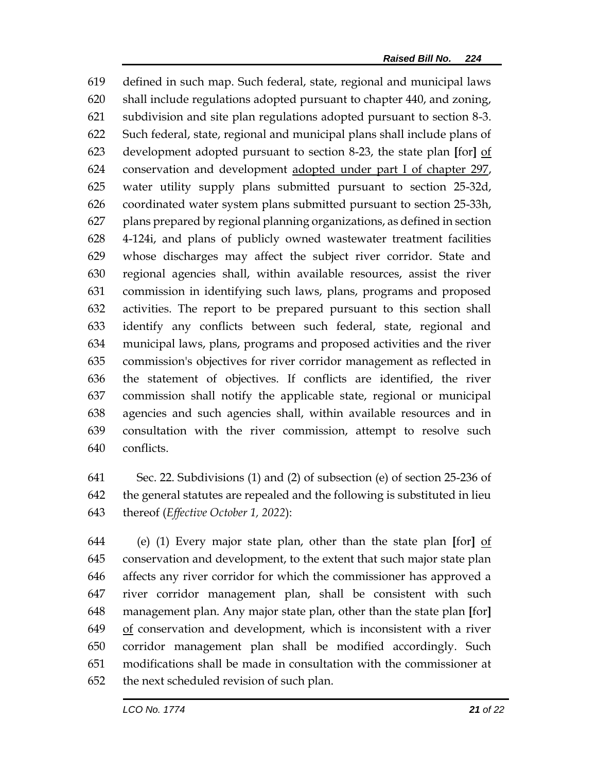defined in such map. Such federal, state, regional and municipal laws shall include regulations adopted pursuant to chapter 440, and zoning, subdivision and site plan regulations adopted pursuant to section 8-3. Such federal, state, regional and municipal plans shall include plans of development adopted pursuant to section 8-23, the state plan **[**for**]** of conservation and development adopted under part I of chapter 297, water utility supply plans submitted pursuant to section 25-32d, coordinated water system plans submitted pursuant to section 25-33h, plans prepared by regional planning organizations, as defined in section 4-124i, and plans of publicly owned wastewater treatment facilities whose discharges may affect the subject river corridor. State and regional agencies shall, within available resources, assist the river commission in identifying such laws, plans, programs and proposed activities. The report to be prepared pursuant to this section shall identify any conflicts between such federal, state, regional and municipal laws, plans, programs and proposed activities and the river commission's objectives for river corridor management as reflected in the statement of objectives. If conflicts are identified, the river commission shall notify the applicable state, regional or municipal agencies and such agencies shall, within available resources and in consultation with the river commission, attempt to resolve such conflicts.

 Sec. 22. Subdivisions (1) and (2) of subsection (e) of section 25-236 of the general statutes are repealed and the following is substituted in lieu thereof (*Effective October 1, 2022*):

 (e) (1) Every major state plan, other than the state plan **[**for**]** of conservation and development, to the extent that such major state plan affects any river corridor for which the commissioner has approved a river corridor management plan, shall be consistent with such management plan. Any major state plan, other than the state plan **[**for**]** of conservation and development, which is inconsistent with a river corridor management plan shall be modified accordingly. Such modifications shall be made in consultation with the commissioner at the next scheduled revision of such plan.